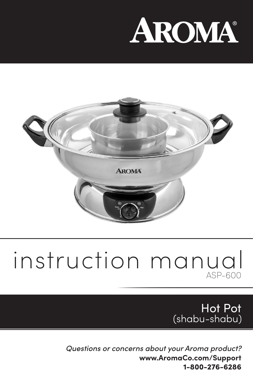# AROMA®



## instruction manual  $ASP-600$

Hot Pot (shabu-shabu)

*Questions or concerns about your Aroma product?* **www.AromaCo.com/Support** 1-800-276-6286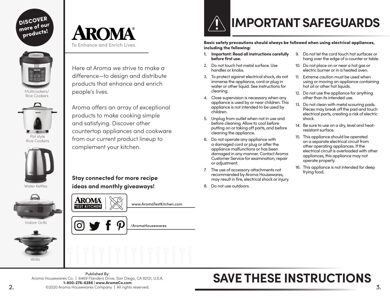DISCOVER more of our products!



Multicookers/ Rice Cookers



Rice Cookers



Water Kettles



Indoor Grills





Here at Aroma we strive to make a difference—to design and distribute products that enhance and enrich people's lives.

Aroma offers an array of exceptional products to make cooking simple and satisfying. Discover other countertop appliances and cookware from our current product lineup to complement your kitchen.

**Stay connected for more recipe ideas and monthly giveaways!**



www.AromaTestKitchen.com





Basic safety precautions should always be followed when using electrical appliances, including the following:

- **1. Important: Read all instructions carefully before first use.**
- 2. Do not touch hot metal surface. Use handles or knobs.
- 3. To protect against electrical shock, do not immerse the appliance, cord or plug in water or other liquid. See instructions for cleaning.
- 4. Close supervision is necessary when any appliance is used by or near children. This appliance is not intended to be used by children.
- 5. Unplug from outlet when not in use and before cleaning. Allow to cool before putting on or taking off parts, and before cleaning the appliance.
- 6. Do not operate any appliance with a damaged cord or plug or after the appliance malfunctions or has been damaged in any manner. Contact Aroma Customer Service for examination, repair or adjustment.
- 7. The use of accessory attachments not recommended by Aroma Housewares, may result in fire, electrical shock or injury.
- 8. Do not use outdoors.
- 9. Do not let the cord touch hot surfaces or hang over the edge of a counter or table.
- 10. Do not place on or near a hot gas or electric burner or in a heated oven.
- 11. Extreme caution must be used when using or moving an appliance containing hot oil or other hot liquids.
- 12. Do not use the appliance for anything other than its intended use.
- 13. Do not clean with metal scouring pads. Pieces may break off the pad and touch electrical parts, creating a risk of electric shock.
- 14. Be sure to use on a dry, level and heatresistant surface.
- 15. This appliance should be operated on a separate electrical circuit from other operating appliances. If the electrical circuit is overloaded with other appliances, this appliance may not operate properly.
- 16. This appliance is not intended for deep frying food.

## **SAVE THESE INSTRUCTIONS**

Published By: Aroma Housewares Co. | 6469 Flanders Drive, San Diego, CA 92121, U.S.A. **1-800-276-6286** | **www.AromaCo.com**  ©2020 Aroma Housewares Company | All rights reserved.

l Oʻ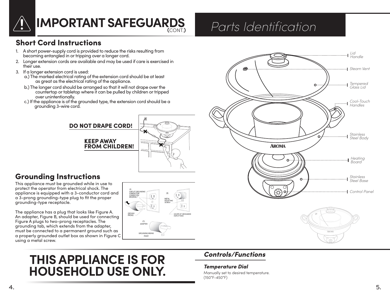

## **IMPORTANT SAFEGUARDS**

## *Parts Identification*

**AROMA** 

O

 $\Omega$ 

®

#### Short Cord Instructions

- 1. A short power-supply cord is provided to reduce the risks resulting from becoming entangled in or tripping over a longer cord.
- 2. Longer extension cords are available and may be used if care is exercised in their use.
- 3. If a longer extension cord is used:
	- a.) The marked electrical rating of the extension cord should be at least as great as the electrical rating of the appliance.
	- b.) The longer cord should be arranged so that it will not drape over the countertop or tabletop where it can be pulled by children or tripped over unintentionally.
	- c.) If the appliance is of the grounded type, the extension cord should be a grounding 3-wire cord.

#### DO NOT DRAPE CORD!

KEEP AWAY FROM CHILDREN!



#### Grounding Instructions

This appliance must be grounded while in use to protect the operator from electrical shock. The appliance is equipped with a 3-conductor cord and a 3-prong grounding-type plug to fit the proper grounding-type receptacle.

The appliance has a plug that looks like Figure A. An adapter, Figure B, should be used for connecting Figure A plugs to two-prong receptacles. The grounding tab, which extends from the adapter, must be connected to a permanent ground such as a properly grounded outlet box as shown in Figure C using a metal screw.



## **THIS APPLIANCE IS FOR HOUSEHOLD USE ONLY.**

#### *Controls/Functions*

#### *Temperature Dial*

Manually set to desired temperature. (150°F-450°F)

4.

*Lid Handle*

*Steam Vent*

*Cool-Touch Handles*

*Tempered Glass Lid*

Ô.

*Stainless Steel Body*

*Stainless Steel Base*

*Heating Board*

*Control Panel*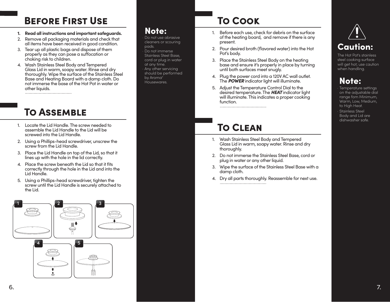## Before First Use

- **1. Read all instructions and important safeguards.**
- 2. Remove all packaging materials and check that all items have been received in good condition.
- 3. Tear up all plastic bags and dispose of them properly as they can pose a suffocation or choking risk to children.
- 4. Wash Stainless Steel Body and Tempered Glass Lid in warm, soapy water. Rinse and dry thoroughly. Wipe the surface of the Stainless Steel Base and Heating Board with a damp cloth. Do not immerse the base of the Hot Pot in water or other liquids.

## To Assemble

- 1. Locate the Lid Handle. The screw needed to assemble the Lid Handle to the Lid will be screwed into the Lid Handle.
- 2. Using a Phillips-head screwdriver, unscrew the screw from the Lid Handle.
- 3. Place the Lid Handle on top of the Lid, so that it lines up with the hole in the lid correctly.
- 4. Place the screw beneath the Lid so that it fits correctly through the hole in the Lid and into the Lid Handle.
- 5. Using a Phillips-head screwdriver, tighten the screw until the Lid Handle is securely attached to the Lid.



#### Note:

· Do not use abrasive cleaners or scouring pads. Do not immerse Stainless Steel Base, cord or plug in water at any time. Any other servicing should be performed by Aroma® Housewares.

## To Cook

- 1. Before each use, check for debris on the surface of the heating board, and remove if there is any present.
- 2. Pour desired broth (flavored water) into the Hot Pot's body.
- 3. Place the Stainless Steel Body on the heating base and ensure it's properly in place by turning until both surfaces meet snugly.
- 4. Plug the power cord into a 120V AC wall outlet. The *POWER* indicator light will illuminate.
- 5. Adjust the Temperature Control Dial to the desired temperature. The *HEAT* indicator light will illuminate. This indicates a proper cooking function.

## To Clean

- 1. Wash Stainless Steel Body and Tempered Glass Lid in warm, soapy water. Rinse and dry thoroughly.
- 2. Do not immerse the Stainless Steel Base, cord or plug in water or any other liquid.
- 3. Wipe the surface of the Stainless Steel Base with a damp cloth.
- 4. Dry all parts thoroughly. Reassemble for next use.



The Hot Pot's stainless steel cooking surface will get hot; use caution when handling.

### Note:

· Temperature settings on the adjustable dial range fom Minimum, Warm, Low, Medium, to High Heat. Stainless Steel Body and Lid are dishwasher safe.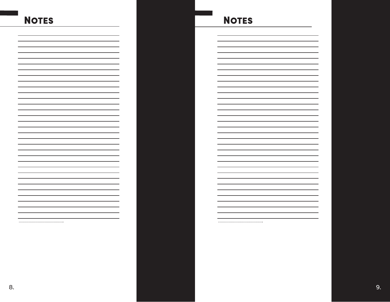## **NOTES**

### **NOTES**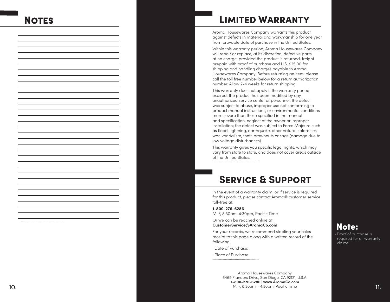## **NOTES**

#### Limited Warranty

Aroma Housewares Company warrants this product against defects in material and workmanship for one year from provable date of purchase in the United States.

Within this warranty period, Aroma Housewares Company will repair or replace, at its discretion, defective parts at no charge, provided the product is returned, freight prepaid with proof of purchase and U.S. \$25.00 for shipping and handling charges payable to Aroma Housewares Company. Before returning an item, please call the toll free number below for a return authorization number. Allow 2-4 weeks for return shipping.

This warranty does not apply if the warranty period expired; the product has been modified by any unauthorized service center or personnel; the defect was subject to abuse, improper use not conforming to product manual instructions, or environmental conditions more severe than those specified in the manual and specification, neglect of the owner or improper installation; the defect was subject to Force Majeure such as flood, lightning, earthquake, other natural calamities, war, vandalism, theft, brownouts or sags (damage due to low voltage disturbances).

This warranty gives you specific legal rights, which may vary from state to state, and does not cover areas outside of the United States. 

#### Service & Support

In the event of a warranty claim, or if service is required for this product, please contact Aroma® customer service toll-free at:

**1-800-276-6286** M-F, 8:30am-4:30pm, Pacific Time

Or we can be reached online at: **CustomerService@AromaCo.com**

For your records, we recommend stapling your sales receipt to this page along with a written record of the following:

· Date of Purchase:

· Place of Purchase: 

Aroma Housewares Company 6469 Flanders Drive, San Diego, CA 92121, U.S.A. **1-800-276-6286**  | **www.AromaCo.com**  M-F, 8:30am – 4:30pm, Pacific Time  $\,$  M-F, 8:30am – 4:30pm, Pacific Time  $\,$  M-F, 8:30am – 4:30pm, Pacific Time  $\,$ 

#### Note:

Proof of purchase is required for all warranty claims.